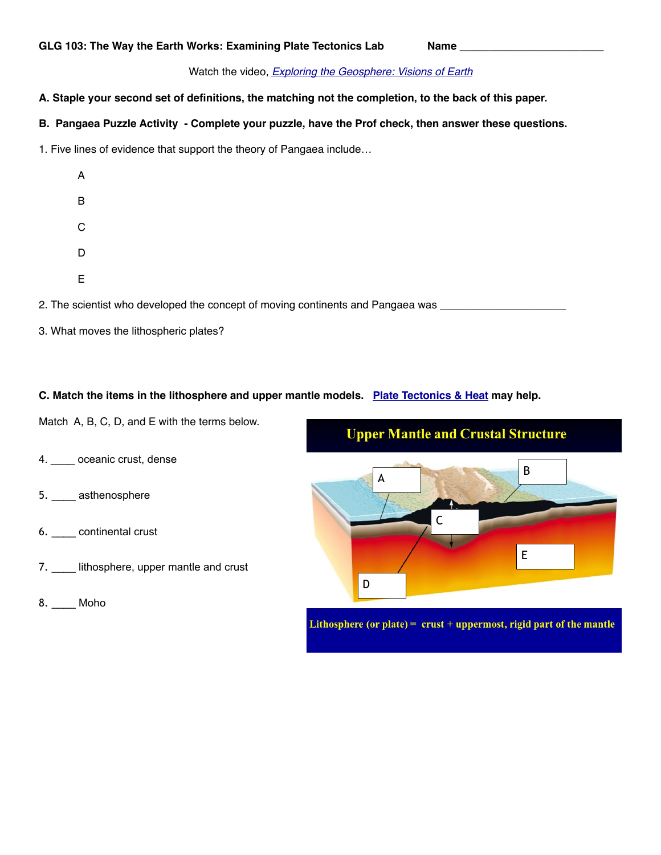Watch the video, *[Exploring the Geosphere: Visions of Earth](https://fod.infobase.com/OnDemandEmbed.aspx?lti=1&token=118182&wID=106409&loid=444208&w=420&h=315#)*

- **A. Staple your second set of definitions, the matching not the completion, to the back of this paper.**
- **B. Pangaea Puzzle Activity Complete your puzzle, have the Prof check, then answer these questions.**
- 1. Five lines of evidence that support the theory of Pangaea include…
	- A B C D E
- 2. The scientist who developed the concept of moving continents and Pangaea was \_\_\_\_\_\_\_\_\_\_\_\_\_\_\_\_\_\_\_\_
- 3. What moves the lithospheric plates?

#### **C. Match the items in the lithosphere and upper mantle models. [Plate Tectonics & Heat](https://1.bp.blogspot.com/-ImDnCIMj8QA/VrsQxeqkNvI/AAAAAAAACxo/_jq521uKvMo/s1600/2.14.jpg) may help.**

Match A, B, C, D, and E with the terms below.

- 4. \_\_\_\_ oceanic crust, dense
- 5. \_\_\_\_ asthenosphere
- 6. \_\_\_\_ continental crust
- 7. lithosphere, upper mantle and crust
- 8. Moho



**Upper Mantle and Crustal Structure** 

Lithosphere (or plate) =  $crust + uppermost$ , rigid part of the mantle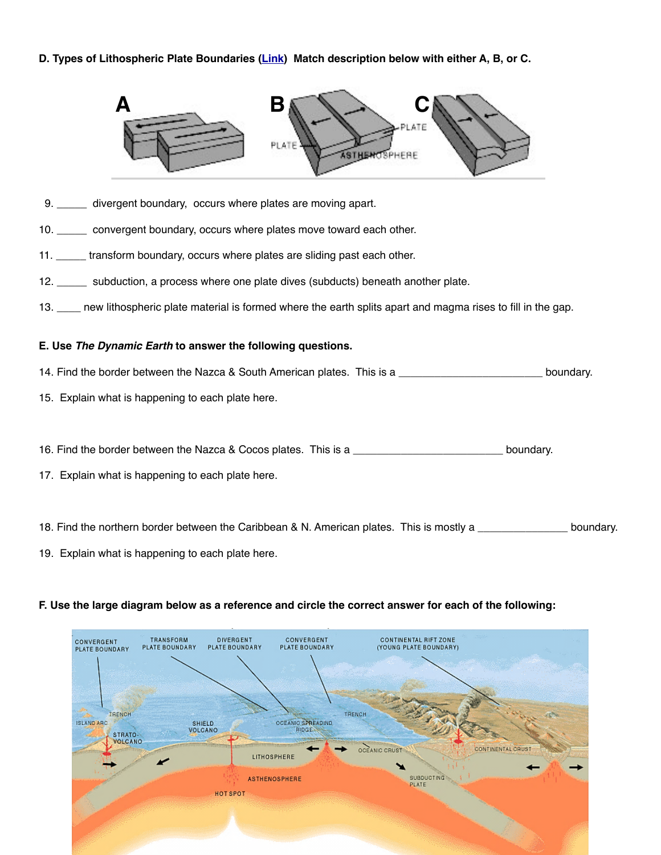**D. Types of Lithospheric Plate Boundaries ([Link](http://pubs.usgs.gov/gip/dynamic/Vigil.html)) Match description below with either A, B, or C.**



- 9. \_\_\_\_\_ divergent boundary, occurs where plates are moving apart.
- 10. \_\_\_\_\_ convergent boundary, occurs where plates move toward each other.
- 11. \_\_\_\_\_ transform boundary, occurs where plates are sliding past each other.
- 12. \_\_\_\_\_ subduction, a process where one plate dives (subducts) beneath another plate.
- 13. \_\_\_\_ new lithospheric plate material is formed where the earth splits apart and magma rises to fill in the gap.

#### **E. Use** *The Dynamic Earth* **to answer the following questions.**

- 14. Find the border between the Nazca & South American plates. This is a \_\_\_\_\_\_\_\_\_\_\_\_\_\_\_\_\_\_\_\_\_\_\_\_\_\_\_\_\_\_\_ boundary.
- 15. Explain what is happening to each plate here.
- 16. Find the border between the Nazca & Cocos plates. This is a \_\_\_\_\_\_\_\_\_\_\_\_\_\_\_\_\_\_\_\_\_\_\_\_\_ boundary.
- 17. Explain what is happening to each plate here.
- 18. Find the northern border between the Caribbean & N. American plates. This is mostly a \_\_\_\_\_\_\_\_\_\_\_\_\_\_\_\_\_ boundary.
- 19. Explain what is happening to each plate here.

#### **F. Use the large diagram below as a reference and circle the correct answer for each of the following:**

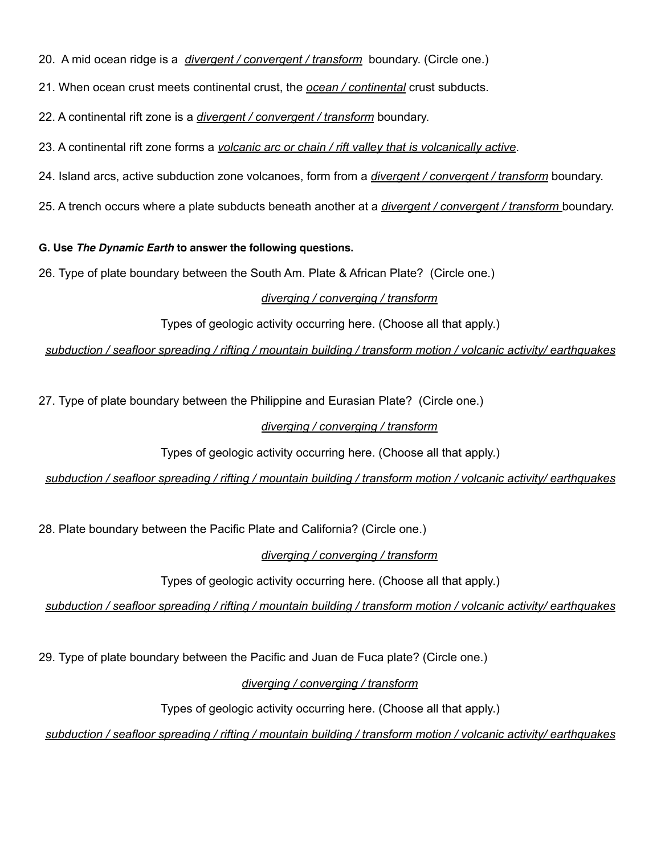- 20. A mid ocean ridge is a *divergent / convergent / transform* boundary. (Circle one.)
- 21. When ocean crust meets continental crust, the *ocean / continental* crust subducts.
- 22. A continental rift zone is a *divergent / convergent / transform* boundary.
- 23. A continental rift zone forms a *volcanic arc or chain / rift valley that is volcanically active*.
- 24. Island arcs, active subduction zone volcanoes, form from a *divergent / convergent / transform* boundary.
- 25. A trench occurs where a plate subducts beneath another at a *divergent / convergent / transform* boundary.

## **G. Use** *The Dynamic Earth* **to answer the following questions.**

26. Type of plate boundary between the South Am. Plate & African Plate? (Circle one.)

# *diverging / converging / transform*

Types of geologic activity occurring here. (Choose all that apply.)

*subduction / seafloor spreading / rifting / mountain building / transform motion / volcanic activity/ earthquakes* 

27. Type of plate boundary between the Philippine and Eurasian Plate? (Circle one.)

## *diverging / converging / transform*

Types of geologic activity occurring here. (Choose all that apply.)

## *subduction / seafloor spreading / rifting / mountain building / transform motion / volcanic activity/ earthquakes*

28. Plate boundary between the Pacific Plate and California? (Circle one.)

## *diverging / converging / transform*

Types of geologic activity occurring here. (Choose all that apply.)

*subduction / seafloor spreading / rifting / mountain building / transform motion / volcanic activity/ earthquakes* 

29. Type of plate boundary between the Pacific and Juan de Fuca plate? (Circle one.)

## *diverging / converging / transform*

Types of geologic activity occurring here. (Choose all that apply.)

*subduction / seafloor spreading / rifting / mountain building / transform motion / volcanic activity/ earthquakes*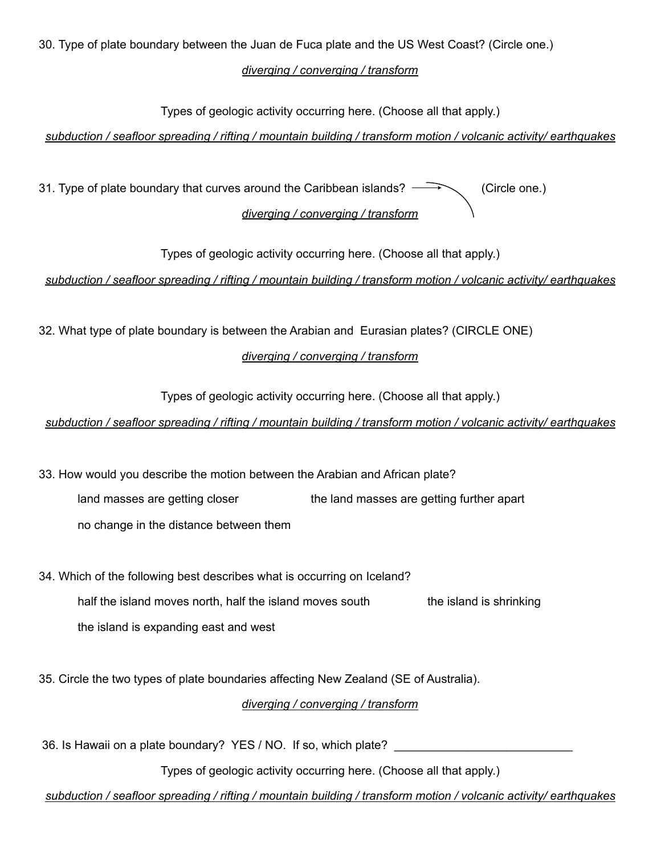30. Type of plate boundary between the Juan de Fuca plate and the US West Coast? (Circle one.)

*diverging / converging / transform*

Types of geologic activity occurring here. (Choose all that apply.)

*subduction / seafloor spreading / rifting / mountain building / transform motion / volcanic activity/ earthquakes* 

31. Type of plate boundary that curves around the Caribbean islands?  $\longrightarrow$  (Circle one.) *diverging / converging / transform*

Types of geologic activity occurring here. (Choose all that apply.)

*subduction / seafloor spreading / rifting / mountain building / transform motion / volcanic activity/ earthquakes* 

32. What type of plate boundary is between the Arabian and Eurasian plates? (CIRCLE ONE)

*diverging / converging / transform*

Types of geologic activity occurring here. (Choose all that apply.)

*subduction / seafloor spreading / rifting / mountain building / transform motion / volcanic activity/ earthquakes* 

- 33. How would you describe the motion between the Arabian and African plate? land masses are getting closer the land masses are getting further apart no change in the distance between them
- 34. Which of the following best describes what is occurring on Iceland? half the island moves north, half the island moves south the island is shrinking the island is expanding east and west

35. Circle the two types of plate boundaries affecting New Zealand (SE of Australia).

*diverging / converging / transform*

36. Is Hawaii on a plate boundary? YES / NO. If so, which plate?

Types of geologic activity occurring here. (Choose all that apply.)

*subduction / seafloor spreading / rifting / mountain building / transform motion / volcanic activity/ earthquakes*